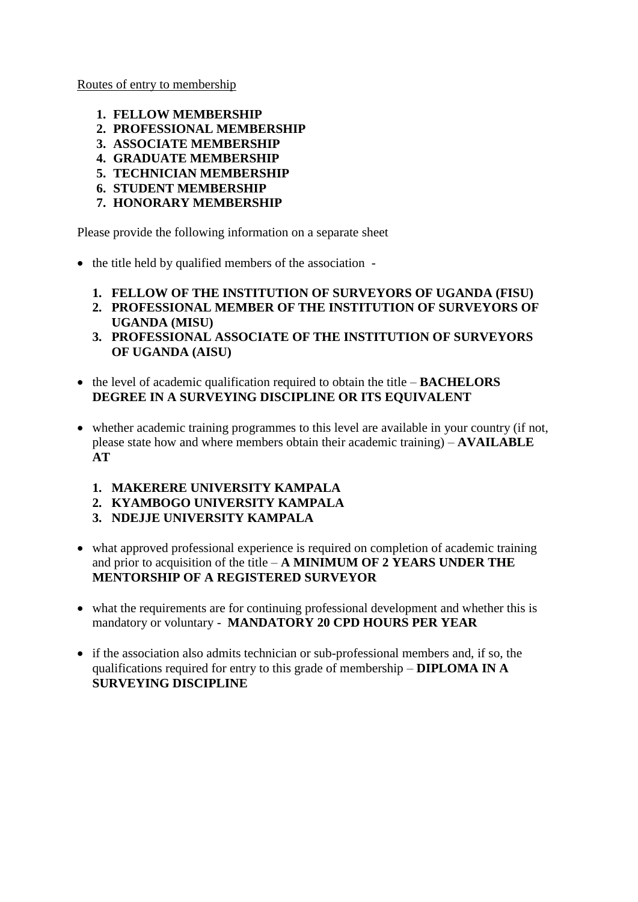Routes of entry to membership

- **1. FELLOW MEMBERSHIP**
- **2. PROFESSIONAL MEMBERSHIP**
- **3. ASSOCIATE MEMBERSHIP**
- **4. GRADUATE MEMBERSHIP**
- **5. TECHNICIAN MEMBERSHIP**
- **6. STUDENT MEMBERSHIP**
- **7. HONORARY MEMBERSHIP**

Please provide the following information on a separate sheet

- the title held by qualified members of the association -
	- **1. FELLOW OF THE INSTITUTION OF SURVEYORS OF UGANDA (FISU)**
	- **2. PROFESSIONAL MEMBER OF THE INSTITUTION OF SURVEYORS OF UGANDA (MISU)**
	- **3. PROFESSIONAL ASSOCIATE OF THE INSTITUTION OF SURVEYORS OF UGANDA (AISU)**
- the level of academic qualification required to obtain the title **BACHELORS DEGREE IN A SURVEYING DISCIPLINE OR ITS EQUIVALENT**
- whether academic training programmes to this level are available in your country (if not, please state how and where members obtain their academic training) – **AVAILABLE AT** 
	- **1. MAKERERE UNIVERSITY KAMPALA**
	- **2. KYAMBOGO UNIVERSITY KAMPALA**
	- **3. NDEJJE UNIVERSITY KAMPALA**
- what approved professional experience is required on completion of academic training and prior to acquisition of the title – **A MINIMUM OF 2 YEARS UNDER THE MENTORSHIP OF A REGISTERED SURVEYOR**
- what the requirements are for continuing professional development and whether this is mandatory or voluntary - **MANDATORY 20 CPD HOURS PER YEAR**
- if the association also admits technician or sub-professional members and, if so, the qualifications required for entry to this grade of membership – **DIPLOMA IN A SURVEYING DISCIPLINE**